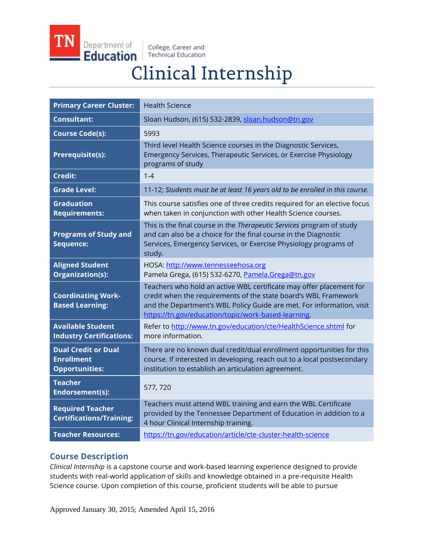Department of **Education** 

College, Career and **Technical Education** 

# **Clinical Internship**

| <b>Primary Career Cluster:</b>                                           | <b>Health Science</b>                                                                                                                                                                                                                                                  |
|--------------------------------------------------------------------------|------------------------------------------------------------------------------------------------------------------------------------------------------------------------------------------------------------------------------------------------------------------------|
| <b>Consultant:</b>                                                       | Sloan Hudson, (615) 532-2839, sloan.hudson@tn.gov                                                                                                                                                                                                                      |
| <b>Course Code(s):</b>                                                   | 5993                                                                                                                                                                                                                                                                   |
| <b>Prerequisite(s):</b>                                                  | Third level Health Science courses in the Diagnostic Services,<br>Emergency Services, Therapeutic Services, or Exercise Physiology<br>programs of study                                                                                                                |
| <b>Credit:</b>                                                           | $1 - 4$                                                                                                                                                                                                                                                                |
| <b>Grade Level:</b>                                                      | 11-12; Students must be at least 16 years old to be enrolled in this course.                                                                                                                                                                                           |
| <b>Graduation</b><br><b>Requirements:</b>                                | This course satisfies one of three credits required for an elective focus<br>when taken in conjunction with other Health Science courses.                                                                                                                              |
| <b>Programs of Study and</b><br>Sequence:                                | This is the final course in the Therapeutic Services program of study<br>and can also be a choice for the final course in the Diagnostic<br>Services, Emergency Services, or Exercise Physiology programs of<br>study.                                                 |
| <b>Aligned Student</b><br>Organization(s):                               | HOSA: http://www.tennesseehosa.org<br>Pamela Grega, (615) 532-6270, Pamela.Grega@tn.gov                                                                                                                                                                                |
| <b>Coordinating Work-</b><br><b>Based Learning:</b>                      | Teachers who hold an active WBL certificate may offer placement for<br>credit when the requirements of the state board's WBL Framework<br>and the Department's WBL Policy Guide are met. For information, visit<br>https://tn.gov/education/topic/work-based-learning. |
| <b>Available Student</b><br><b>Industry Certifications:</b>              | Refer to http://www.tn.gov/education/cte/HealthScience.shtml for<br>more information.                                                                                                                                                                                  |
| <b>Dual Credit or Dual</b><br><b>Enrollment</b><br><b>Opportunities:</b> | There are no known dual credit/dual enrollment opportunities for this<br>course. If interested in developing, reach out to a local postsecondary<br>institution to establish an articulation agreement.                                                                |
| <b>Teacher</b><br>Endorsement(s):                                        | 577, 720                                                                                                                                                                                                                                                               |
| <b>Required Teacher</b><br><b>Certifications/Training:</b>               | Teachers must attend WBL training and earn the WBL Certificate<br>provided by the Tennessee Department of Education in addition to a<br>4 hour Clinical Internship training.                                                                                           |
| <b>Teacher Resources:</b>                                                | https://tn.gov/education/article/cte-cluster-health-science                                                                                                                                                                                                            |

## **Course Description**

*Clinical Internship* is a capstone course and work-based learning experience designed to provide students with real-world application of skills and knowledge obtained in a pre-requisite Health Science course. Upon completion of this course, proficient students will be able to pursue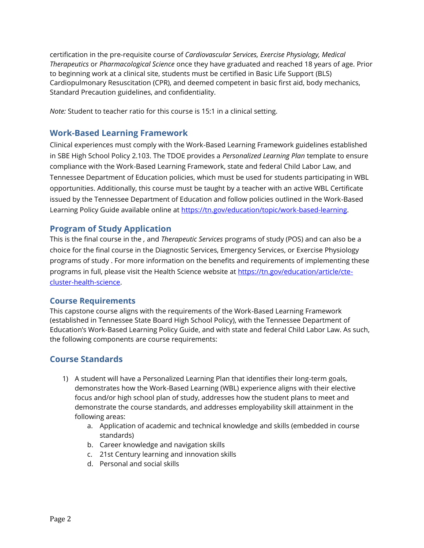certification in the pre-requisite course of *Cardiovascular Services, Exercise Physiology, Medical Therapeutics* or *Pharmacological Science* once they have graduated and reached 18 years of age. Prior to beginning work at a clinical site, students must be certified in Basic Life Support (BLS) Cardiopulmonary Resuscitation (CPR), and deemed competent in basic first aid, body mechanics, Standard Precaution guidelines, and confidentiality.

*Note:* Student to teacher ratio for this course is 15:1 in a clinical setting.

### **Work-Based Learning Framework**

Clinical experiences must comply with the Work-Based Learning Framework guidelines established in SBE High School Policy 2.103. The TDOE provides a *Personalized Learning Plan* template to ensure compliance with the Work-Based Learning Framework, state and federal Child Labor Law, and Tennessee Department of Education policies, which must be used for students participating in WBL opportunities. Additionally, this course must be taught by a teacher with an active WBL Certificate issued by the Tennessee Department of Education and follow policies outlined in the Work-Based Learning Policy Guide available online at [https://tn.gov/education/topic/work-based-learning.](https://tn.gov/education/topic/work-based-learning) 

### **Program of Study Application**

This is the final course in the *,* and *Therapeutic Services* programs of study (POS) and can also be a choice for the final course in the Diagnostic Services, Emergency Services, or Exercise Physiology programs of study . For more information on the benefits and requirements of implementing these programs in full, please visit the Health Science website a[t https://tn.gov/education/article/cte](https://tn.gov/education/article/cte-cluster-health-science)[cluster-health-science.](https://tn.gov/education/article/cte-cluster-health-science)

### **Course Requirements**

This capstone course aligns with the requirements of the Work-Based Learning Framework (established in Tennessee State Board High School Policy), with the Tennessee Department of Education's Work-Based Learning Policy Guide, and with state and federal Child Labor Law. As such, the following components are course requirements:

## **Course Standards**

- 1) A student will have a Personalized Learning Plan that identifies their long-term goals, demonstrates how the Work-Based Learning (WBL) experience aligns with their elective focus and/or high school plan of study, addresses how the student plans to meet and demonstrate the course standards, and addresses employability skill attainment in the following areas:
	- a. Application of academic and technical knowledge and skills (embedded in course standards)
	- b. Career knowledge and navigation skills
	- c. 21st Century learning and innovation skills
	- d. Personal and social skills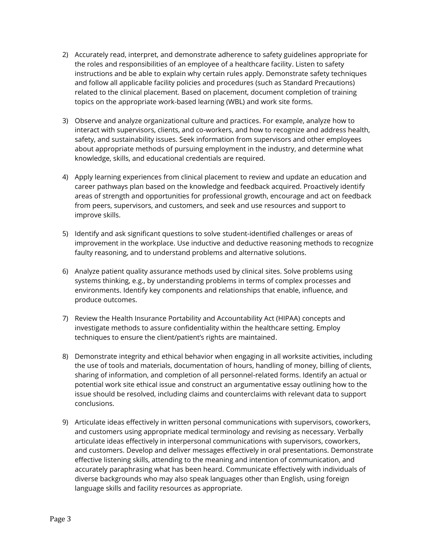- 2) Accurately read, interpret, and demonstrate adherence to safety guidelines appropriate for the roles and responsibilities of an employee of a healthcare facility. Listen to safety instructions and be able to explain why certain rules apply. Demonstrate safety techniques and follow all applicable facility policies and procedures (such as Standard Precautions) related to the clinical placement. Based on placement, document completion of training topics on the appropriate work-based learning (WBL) and work site forms.
- 3) Observe and analyze organizational culture and practices. For example, analyze how to interact with supervisors, clients, and co-workers, and how to recognize and address health, safety, and sustainability issues. Seek information from supervisors and other employees about appropriate methods of pursuing employment in the industry, and determine what knowledge, skills, and educational credentials are required.
- 4) Apply learning experiences from clinical placement to review and update an education and career pathways plan based on the knowledge and feedback acquired. Proactively identify areas of strength and opportunities for professional growth, encourage and act on feedback from peers, supervisors, and customers, and seek and use resources and support to improve skills.
- 5) Identify and ask significant questions to solve student-identified challenges or areas of improvement in the workplace. Use inductive and deductive reasoning methods to recognize faulty reasoning, and to understand problems and alternative solutions.
- 6) Analyze patient quality assurance methods used by clinical sites. Solve problems using systems thinking, e.g., by understanding problems in terms of complex processes and environments. Identify key components and relationships that enable, influence, and produce outcomes.
- 7) Review the Health Insurance Portability and Accountability Act (HIPAA) concepts and investigate methods to assure confidentiality within the healthcare setting. Employ techniques to ensure the client/patient's rights are maintained.
- 8) Demonstrate integrity and ethical behavior when engaging in all worksite activities, including the use of tools and materials, documentation of hours, handling of money, billing of clients, sharing of information, and completion of all personnel-related forms. Identify an actual or potential work site ethical issue and construct an argumentative essay outlining how to the issue should be resolved, including claims and counterclaims with relevant data to support conclusions.
- 9) Articulate ideas effectively in written personal communications with supervisors, coworkers, and customers using appropriate medical terminology and revising as necessary. Verbally articulate ideas effectively in interpersonal communications with supervisors, coworkers, and customers. Develop and deliver messages effectively in oral presentations. Demonstrate effective listening skills, attending to the meaning and intention of communication, and accurately paraphrasing what has been heard. Communicate effectively with individuals of diverse backgrounds who may also speak languages other than English, using foreign language skills and facility resources as appropriate.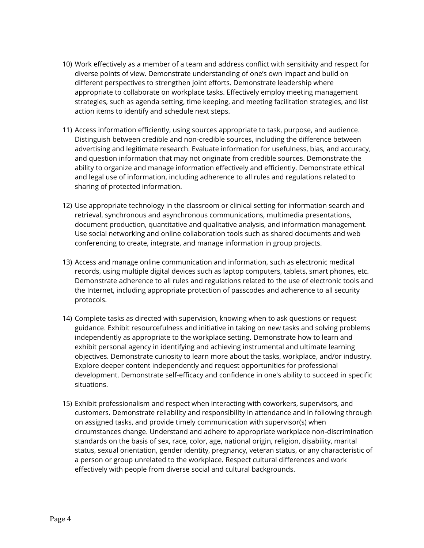- 10) Work effectively as a member of a team and address conflict with sensitivity and respect for diverse points of view. Demonstrate understanding of one's own impact and build on different perspectives to strengthen joint efforts. Demonstrate leadership where appropriate to collaborate on workplace tasks. Effectively employ meeting management strategies, such as agenda setting, time keeping, and meeting facilitation strategies, and list action items to identify and schedule next steps.
- 11) Access information efficiently, using sources appropriate to task, purpose, and audience. Distinguish between credible and non-credible sources, including the difference between advertising and legitimate research. Evaluate information for usefulness, bias, and accuracy, and question information that may not originate from credible sources. Demonstrate the ability to organize and manage information effectively and efficiently. Demonstrate ethical and legal use of information, including adherence to all rules and regulations related to sharing of protected information.
- 12) Use appropriate technology in the classroom or clinical setting for information search and retrieval, synchronous and asynchronous communications, multimedia presentations, document production, quantitative and qualitative analysis, and information management. Use social networking and online collaboration tools such as shared documents and web conferencing to create, integrate, and manage information in group projects.
- 13) Access and manage online communication and information, such as electronic medical records, using multiple digital devices such as laptop computers, tablets, smart phones, etc. Demonstrate adherence to all rules and regulations related to the use of electronic tools and the Internet, including appropriate protection of passcodes and adherence to all security protocols.
- 14) Complete tasks as directed with supervision, knowing when to ask questions or request guidance. Exhibit resourcefulness and initiative in taking on new tasks and solving problems independently as appropriate to the workplace setting. Demonstrate how to learn and exhibit personal agency in identifying and achieving instrumental and ultimate learning objectives. Demonstrate curiosity to learn more about the tasks, workplace, and/or industry. Explore deeper content independently and request opportunities for professional development. Demonstrate self-efficacy and confidence in one's ability to succeed in specific situations.
- 15) Exhibit professionalism and respect when interacting with coworkers, supervisors, and customers. Demonstrate reliability and responsibility in attendance and in following through on assigned tasks, and provide timely communication with supervisor(s) when circumstances change. Understand and adhere to appropriate workplace non-discrimination standards on the basis of sex, race, color, age, national origin, religion, disability, marital status, sexual orientation, gender identity, pregnancy, veteran status, or any characteristic of a person or group unrelated to the workplace. Respect cultural differences and work effectively with people from diverse social and cultural backgrounds.